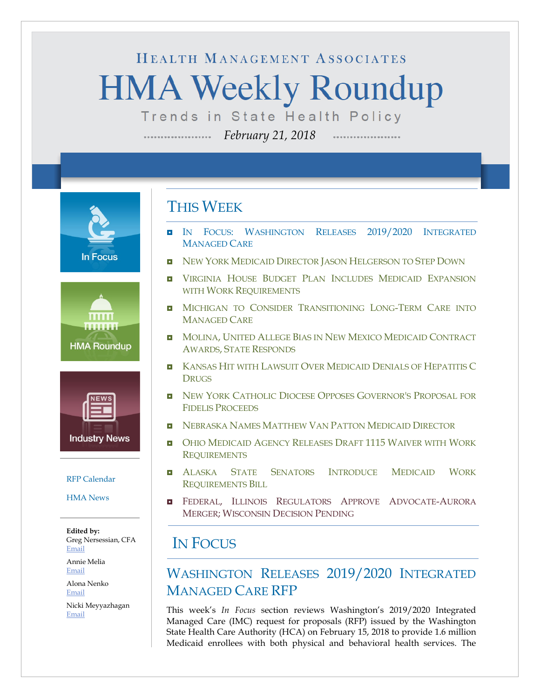# HEALTH MANAGEMENT ASSOCIATES **HMA Weekly Roundup**

Trends in State Health Policy

*February 21, 2018*







#### [RFP Calendar](#page-16-0)

[HMA News](#page-17-0)

**Edited by:** Greg Nersessian, CFA [Email](mailto:gnersessian@healthmanagement.com)

Annie Melia [Email](mailto:amelia@healthmanagement.com)

Alona Nenko [Email](mailto:anenko@healthmanagement.com)

Nicki Meyyazhagan [Email](mailto:nmeyyazhagan@healthmanagement.com)

### THIS WEEK

- IN FOCUS: WASHINGTON [RELEASES 2019/2020](#page-0-0) INTEGRATED [MANAGED CARE](#page-0-0)
- [NEW YORK MEDICAID DIRECTOR JASON HELGERSON TO STEP DOWN](#page-9-0)
- **U** VIRGINIA HOUSE BUDGET PLAN INCLUDES MEDICAID EXPANSION [WITH WORK REQUIREMENTS](#page-12-0)
- **D** MICHIGAN TO CONSIDER TRANSITIONING LONG-TERM CARE INTO [MANAGED CARE](#page-6-0)
- **IN** MOLINA, UNITED ALLEGE BIAS IN NEW MEXICO MEDICAID CONTRACT AWARDS, [STATE RESPONDS](#page-9-1)
- **E** [KANSAS HIT WITH LAWSUIT OVER MEDICAID DENIALS OF HEPATITIS C](#page-5-0) **[DRUGS](#page-5-0)**
- [NEW YORK CATHOLIC DIOCESE OPPOSES GOVERNOR'S PROPOSAL FOR](#page-9-0)  [FIDELIS PROCEEDS](#page-9-0)
- **[NEBRASKA NAMES MATTHEW VAN PATTON MEDICAID DIRECTOR](#page-6-1)**
- **[OHIO MEDICAID AGENCY RELEASES DRAFT 1115](#page-11-0) WAIVER WITH WORK [REQUIREMENTS](#page-11-0)**
- $\blacksquare$  ALASKA STATE SENATORS INTRODUCE MEDICAID WORK [REQUIREMENTS BILL](#page-5-1)
- **E** FEDERAL, ILLINOIS REGULATORS APPROVE ADVOCATE-AURORA MERGER; [WISCONSIN DECISION PENDING](#page-15-0)

### <span id="page-0-0"></span>IN FOCUS

### WASHINGTON RELEASES 2019/2020 INTEGRATED MANAGED CARE RFP

This week's *In Focus* section reviews Washington's 2019/2020 Integrated Managed Care (IMC) request for proposals (RFP) issued by the Washington State Health Care Authority (HCA) on February 15, 2018 to provide 1.6 million Medicaid enrollees with both physical and behavioral health services. The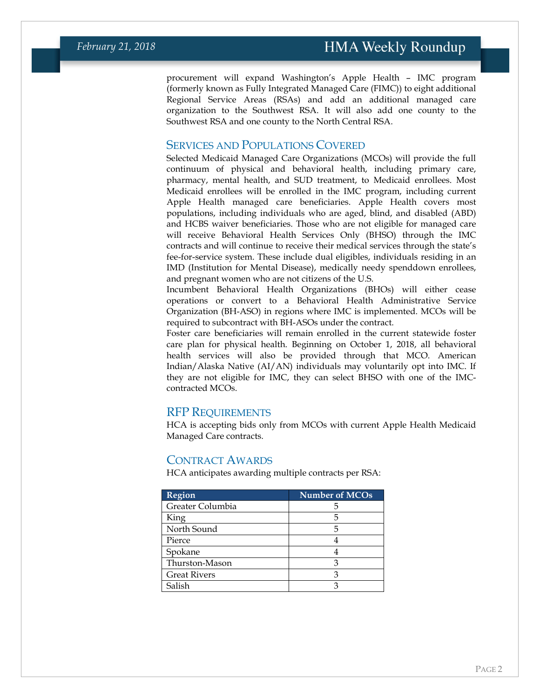procurement will expand Washington's Apple Health – IMC program (formerly known as Fully Integrated Managed Care (FIMC)) to eight additional Regional Service Areas (RSAs) and add an additional managed care organization to the Southwest RSA. It will also add one county to the Southwest RSA and one county to the North Central RSA.

#### SERVICES AND POPULATIONS COVERED

Selected Medicaid Managed Care Organizations (MCOs) will provide the full continuum of physical and behavioral health, including primary care, pharmacy, mental health, and SUD treatment, to Medicaid enrollees. Most Medicaid enrollees will be enrolled in the IMC program, including current Apple Health managed care beneficiaries. Apple Health covers most populations, including individuals who are aged, blind, and disabled (ABD) and HCBS waiver beneficiaries. Those who are not eligible for managed care will receive Behavioral Health Services Only (BHSO) through the IMC contracts and will continue to receive their medical services through the state's fee-for-service system. These include dual eligibles, individuals residing in an IMD (Institution for Mental Disease), medically needy spenddown enrollees, and pregnant women who are not citizens of the U.S.

Incumbent Behavioral Health Organizations (BHOs) will either cease operations or convert to a Behavioral Health Administrative Service Organization (BH-ASO) in regions where IMC is implemented. MCOs will be required to subcontract with BH-ASOs under the contract.

Foster care beneficiaries will remain enrolled in the current statewide foster care plan for physical health. Beginning on October 1, 2018, all behavioral health services will also be provided through that MCO. American Indian/Alaska Native (AI/AN) individuals may voluntarily opt into IMC. If they are not eligible for IMC, they can select BHSO with one of the IMCcontracted MCOs.

#### RFP REQUIREMENTS

HCA is accepting bids only from MCOs with current Apple Health Medicaid Managed Care contracts.

#### CONTRACT AWARDS

HCA anticipates awarding multiple contracts per RSA:

| <b>Region</b>       | <b>Number</b> of MCOs |
|---------------------|-----------------------|
| Greater Columbia    |                       |
| King                |                       |
| North Sound         | 5                     |
| Pierce              |                       |
| Spokane             |                       |
| Thurston-Mason      |                       |
| <b>Great Rivers</b> |                       |
| Salish              |                       |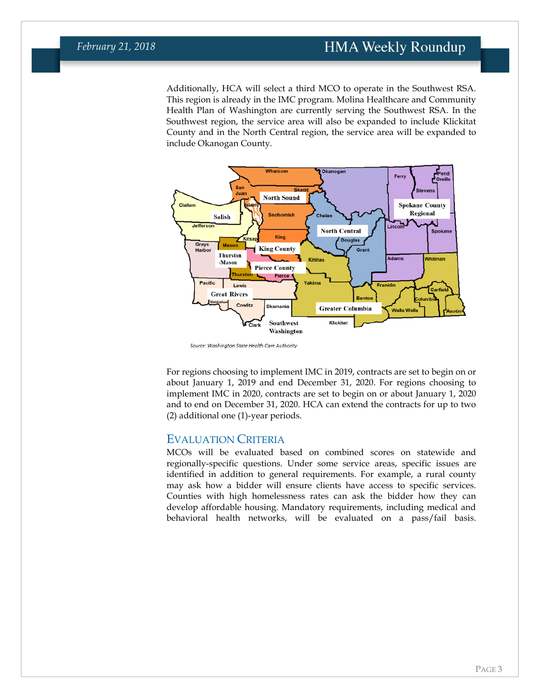### **HMA Weekly Roundup**

### *February 21, 2018*

Additionally, HCA will select a third MCO to operate in the Southwest RSA. This region is already in the IMC program. Molina Healthcare and Community Health Plan of Washington are currently serving the Southwest RSA. In the Southwest region, the service area will also be expanded to include Klickitat County and in the North Central region, the service area will be expanded to include Okanogan County.



Source: Washington State Health Care Authority

For regions choosing to implement IMC in 2019, contracts are set to begin on or about January 1, 2019 and end December 31, 2020. For regions choosing to implement IMC in 2020, contracts are set to begin on or about January 1, 2020 and to end on December 31, 2020. HCA can extend the contracts for up to two (2) additional one (1)-year periods.

#### EVALUATION CRITERIA

MCOs will be evaluated based on combined scores on statewide and regionally-specific questions. Under some service areas, specific issues are identified in addition to general requirements. For example, a rural county may ask how a bidder will ensure clients have access to specific services. Counties with high homelessness rates can ask the bidder how they can develop affordable housing. Mandatory requirements, including medical and behavioral health networks, will be evaluated on a pass/fail basis.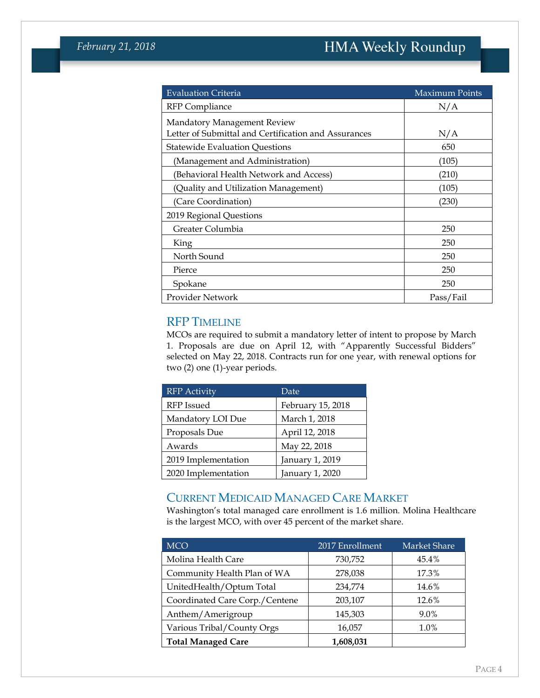| <b>Evaluation Criteria</b>                                                          | <b>Maximum Points</b> |
|-------------------------------------------------------------------------------------|-----------------------|
| <b>RFP</b> Compliance                                                               | N/A                   |
| Mandatory Management Review<br>Letter of Submittal and Certification and Assurances | N/A                   |
| <b>Statewide Evaluation Questions</b>                                               | 650                   |
| (Management and Administration)                                                     | (105)                 |
| (Behavioral Health Network and Access)                                              | (210)                 |
| (Quality and Utilization Management)                                                | (105)                 |
| (Care Coordination)                                                                 | (230)                 |
| 2019 Regional Questions                                                             |                       |
| Greater Columbia                                                                    | 250                   |
| King                                                                                | 250                   |
| North Sound                                                                         | 250                   |
| Pierce                                                                              | 250                   |
| Spokane                                                                             | 250                   |
| Provider Network                                                                    | Pass/Fail             |

#### RFP TIMELINE

MCOs are required to submit a mandatory letter of intent to propose by March 1. Proposals are due on April 12, with "Apparently Successful Bidders" selected on May 22, 2018. Contracts run for one year, with renewal options for two (2) one (1)-year periods.

| <b>RFP</b> Activity | Date              |
|---------------------|-------------------|
| RFP Issued          | February 15, 2018 |
| Mandatory LOI Due   | March 1, 2018     |
| Proposals Due       | April 12, 2018    |
| Awards              | May 22, 2018      |
| 2019 Implementation | January 1, 2019   |
| 2020 Implementation | January 1, 2020   |

#### CURRENT MEDICAID MANAGED CARE MARKET

Washington's total managed care enrollment is 1.6 million. Molina Healthcare is the largest MCO, with over 45 percent of the market share.

| <b>MCO</b>                     | 2017 Enrollment | Market Share |
|--------------------------------|-----------------|--------------|
| Molina Health Care             | 730,752         | 45.4%        |
| Community Health Plan of WA    | 278,038         | 17.3%        |
| UnitedHealth/Optum Total       | 234,774         | 14.6%        |
| Coordinated Care Corp./Centene | 203,107         | 12.6%        |
| Anthem/Amerigroup              | 145,303         | 9.0%         |
| Various Tribal/County Orgs     | 16,057          | 1.0%         |
| <b>Total Managed Care</b>      | 1,608,031       |              |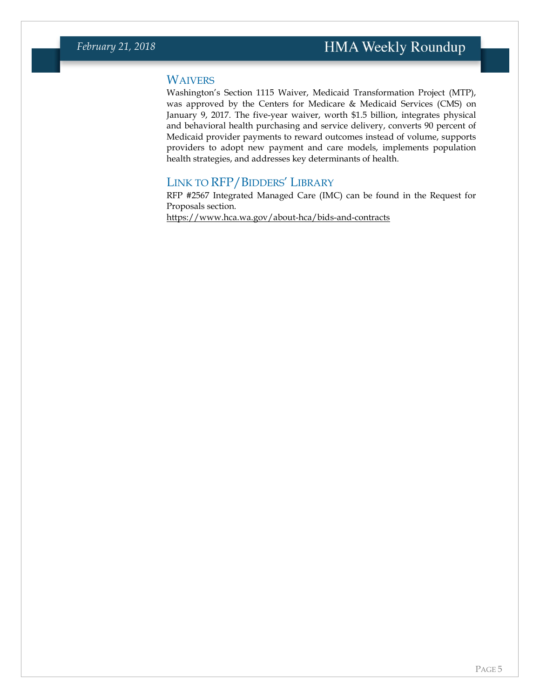#### **WAIVERS**

Washington's Section 1115 Waiver, Medicaid Transformation Project (MTP), was approved by the Centers for Medicare & Medicaid Services (CMS) on January 9, 2017. The five-year waiver, worth \$1.5 billion, integrates physical and behavioral health purchasing and service delivery, converts 90 percent of Medicaid provider payments to reward outcomes instead of volume, supports providers to adopt new payment and care models, implements population health strategies, and addresses key determinants of health.

#### LINK TO RFP/BIDDERS' LIBRARY

RFP #2567 Integrated Managed Care (IMC) can be found in the Request for Proposals section. <https://www.hca.wa.gov/about-hca/bids-and-contracts>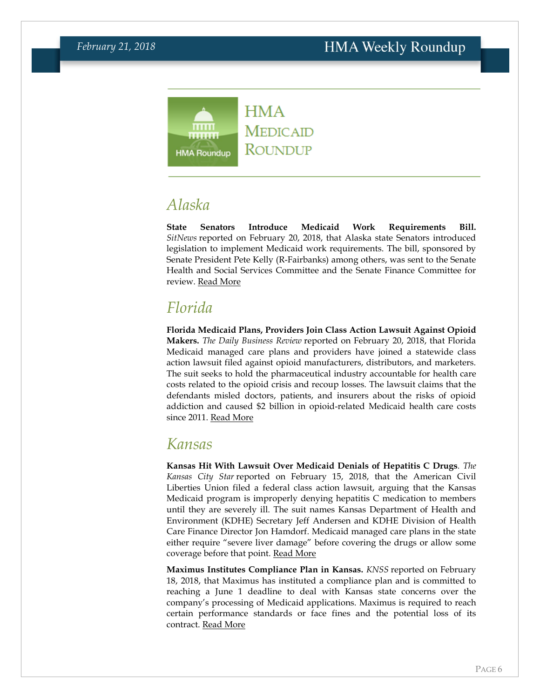

# <span id="page-5-1"></span>*Alaska*

**State Senators Introduce Medicaid Work Requirements Bill.** *SitNews* reported on February 20, 2018, that Alaska state Senators introduced legislation to implement Medicaid work requirements. The bill, sponsored by Senate President Pete Kelly (R-Fairbanks) among others, was sent to the Senate Health and Social Services Committee and the Senate Finance Committee for review. [Read More](http://www.sitnews.us/0218News/022018/022018_medicaid_work_requirement.html)

# *Florida*

**Florida Medicaid Plans, Providers Join Class Action Lawsuit Against Opioid Makers.** *The Daily Business Review* reported on February 20, 2018, that Florida Medicaid managed care plans and providers have joined a statewide class action lawsuit filed against opioid manufacturers, distributors, and marketers. The suit seeks to hold the pharmaceutical industry accountable for health care costs related to the opioid crisis and recoup losses. The lawsuit claims that the defendants misled doctors, patients, and insurers about the risks of opioid addiction and caused \$2 billion in opioid-related Medicaid health care costs since 2011. [Read More](https://www.law.com/dailybusinessreview/2018/02/20/miami-law-firms-sue-big-pharma-on-behalf-of-medicaid-managed-care-providers/)

### <span id="page-5-0"></span>*Kansas*

**Kansas Hit With Lawsuit Over Medicaid Denials of Hepatitis C Drugs***. The Kansas City Star* reported on February 15, 2018, that the American Civil Liberties Union filed a federal class action lawsuit, arguing that the Kansas Medicaid program is improperly denying hepatitis C medication to members until they are severely ill. The suit names Kansas Department of Health and Environment (KDHE) Secretary Jeff Andersen and KDHE Division of Health Care Finance Director Jon Hamdorf. Medicaid managed care plans in the state either require "severe liver damage" before covering the drugs or allow some coverage before that point. [Read More](http://www.kansascity.com/news/politics-government/article200336009.html)

**Maximus Institutes Compliance Plan in Kansas.** *KNSS* reported on February 18, 2018, that Maximus has instituted a compliance plan and is committed to reaching a June 1 deadline to deal with Kansas state concerns over the company's processing of Medicaid applications. Maximus is required to reach certain performance standards or face fines and the potential loss of its contract. [Read More](http://www.knssradio.com/articles/kansas-gives-medicaid-contractor-until-june-1st-improve)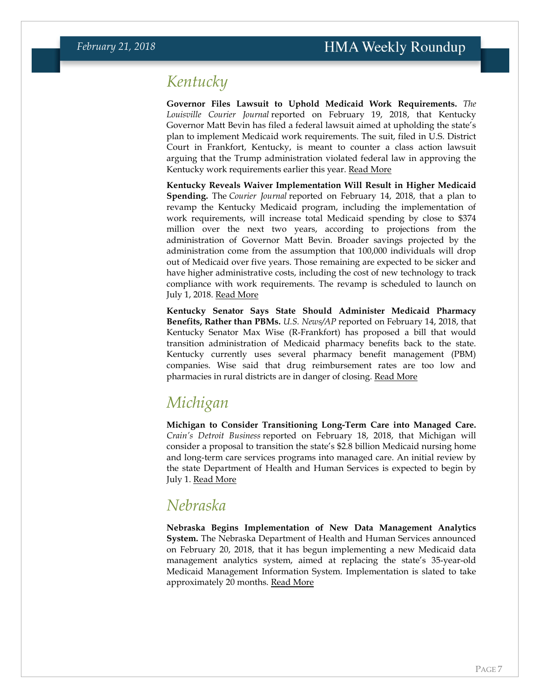### *Kentucky*

**Governor Files Lawsuit to Uphold Medicaid Work Requirements.** *The Louisville Courier Journal* reported on February 19, 2018, that Kentucky Governor Matt Bevin has filed a federal lawsuit aimed at upholding the state's plan to implement Medicaid work requirements. The suit, filed in U.S. District Court in Frankfort, Kentucky, is meant to counter a class action lawsuit arguing that the Trump administration violated federal law in approving the Kentucky work requirements earlier this year. [Read More](https://www.courier-journal.com/story/news/2018/02/19/medicaid-reform-matt-bevin-lawsuit-work-requirements/352302002/)

**Kentucky Reveals Waiver Implementation Will Result in Higher Medicaid Spending.** The *Courier Journal* reported on February 14, 2018, that a plan to revamp the Kentucky Medicaid program, including the implementation of work requirements, will increase total Medicaid spending by close to \$374 million over the next two years, according to projections from the administration of Governor Matt Bevin. Broader savings projected by the administration come from the assumption that 100,000 individuals will drop out of Medicaid over five years. Those remaining are expected to be sicker and have higher administrative costs, including the cost of new technology to track compliance with work requirements. The revamp is scheduled to launch on July 1, 2018. [Read More](https://www.courier-journal.com/story/news/politics/2018/02/14/kentucky-medicaid-changes-bevin-work-requriements/319384002/)

**Kentucky Senator Says State Should Administer Medicaid Pharmacy Benefits, Rather than PBMs.** *U.S. News/AP* reported on February 14, 2018, that Kentucky Senator Max Wise (R-Frankfort) has proposed a bill that would transition administration of Medicaid pharmacy benefits back to the state. Kentucky currently uses several pharmacy benefit management (PBM) companies. Wise said that drug reimbursement rates are too low and pharmacies in rural districts are in danger of closing. [Read More](https://www.usnews.com/news/best-states/kentucky/articles/2018-02-14/bill-would-let-kentucky-take-over-medicaid-pharmacy-benefits)

# <span id="page-6-0"></span>*Michigan*

**Michigan to Consider Transitioning Long-Term Care into Managed Care.**  *Crain's Detroit Business* reported on February 18, 2018, that Michigan will consider a proposal to transition the state's \$2.8 billion Medicaid nursing home and long-term care services programs into managed care. An initial review by the state Department of Health and Human Services is expected to begin by July 1. [Read More](http://www.crainsdetroit.com/article/20180218/news/653216/plan-would-move-medicaid-long-term-care-into-managed-care)

### <span id="page-6-1"></span>*Nebraska*

**Nebraska Begins Implementation of New Data Management Analytics System.** The Nebraska Department of Health and Human Services announced on February 20, 2018, that it has begun implementing a new Medicaid data management analytics system, aimed at replacing the state's 35-year-old Medicaid Management Information System. Implementation is slated to take approximately 20 months. [Read More](http://dhhs.ne.gov/Pages/newsroom_2018_February_MLTCReleaseDMA.aspx)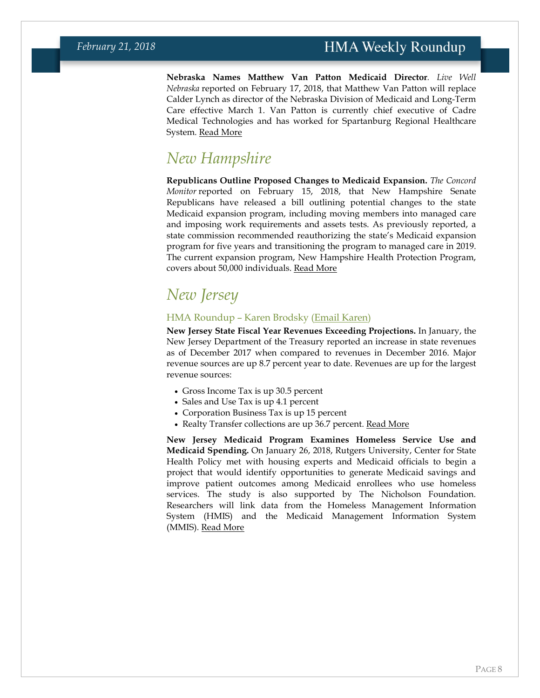**Nebraska Names Matthew Van Patton Medicaid Director***. Live Well Nebraska* reported on February 17, 2018, that Matthew Van Patton will replace Calder Lynch as director of the Nebraska Division of Medicaid and Long-Term Care effective March 1. Van Patton is currently chief executive of Cadre Medical Technologies and has worked for Spartanburg Regional Healthcare System. [Read More](http://www.omaha.com/livewellnebraska/ricketts-names-new-state-medicaid-director/article_db312f6f-3f74-555d-b0ab-ef881c82d40d.html)

### *New Hampshire*

**Republicans Outline Proposed Changes to Medicaid Expansion.** *The Concord Monitor* reported on February 15, 2018, that New Hampshire Senate Republicans have released a bill outlining potential changes to the state Medicaid expansion program, including moving members into managed care and imposing work requirements and assets tests. As previously reported, a state commission recommended reauthorizing the state's Medicaid expansion program for five years and transitioning the program to managed care in 2019. The current expansion program, New Hampshire Health Protection Program, covers about 50,000 individuals. [Read More](http://www.concordmonitor.com/Medicaid-expansion-plan-unveiled-15594259)

# *New Jersey*

#### HMA Roundup – Karen Brodsky [\(Email Karen\)](mailto:kbrodsky@healthmanagement.com)

**New Jersey State Fiscal Year Revenues Exceeding Projections.** In January, the New Jersey Department of the Treasury reported an increase in state revenues as of December 2017 when compared to revenues in December 2016. Major revenue sources are up 8.7 percent year to date. Revenues are up for the largest revenue sources:

- Gross Income Tax is up 30.5 percent
- Sales and Use Tax is up 4.1 percent
- Corporation Business Tax is up 15 percent
- Realty Transfer collections are up 36.7 percent. <u>[Read More](http://www.state.nj.us/treasury/news/2018/p01122018a.pdf)</u>

**New Jersey Medicaid Program Examines Homeless Service Use and Medicaid Spending.** On January 26, 2018, Rutgers University, Center for State Health Policy met with housing experts and Medicaid officials to begin a project that would identify opportunities to generate Medicaid savings and improve patient outcomes among Medicaid enrollees who use homeless services. The study is also supported by The Nicholson Foundation. Researchers will link data from the Homeless Management Information System (HMIS) and the Medicaid Management Information System (MMIS). [Read More](http://www.cshp.rutgers.edu/Downloads/11270.pdf)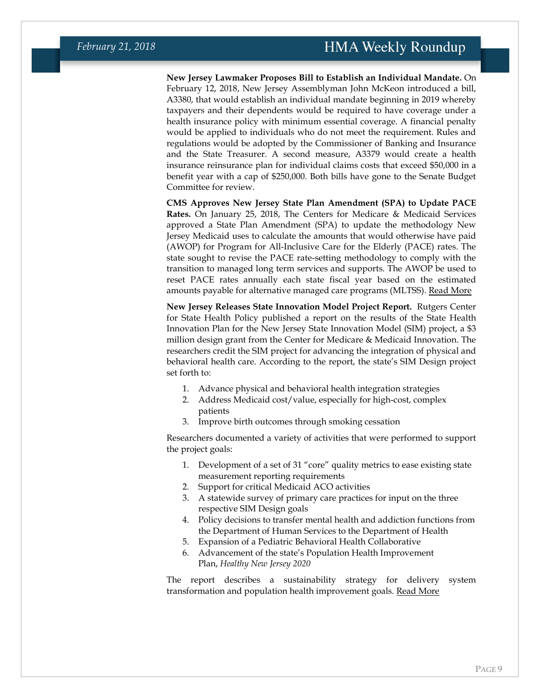**New Jersey Lawmaker Proposes Bill to Establish an Individual Mandate.** On February 12, 2018, New Jersey Assemblyman John McKeon introduced a bill, A3380, that would establish an individual mandate beginning in 2019 whereby taxpayers and their dependents would be required to have coverage under a health insurance policy with minimum essential coverage. A financial penalty would be applied to individuals who do not meet the requirement. Rules and regulations would be adopted by the Commissioner of Banking and Insurance and the State Treasurer. A second measure, A3379 would create a health insurance reinsurance plan for individual claims costs that exceed \$50,000 in a benefit year with a cap of \$250,000. Both bills have gone to the Senate Budget Committee for review.

**CMS Approves New Jersey State Plan Amendment (SPA) to Update PACE Rates.** On January 25, 2018, The Centers for Medicare & Medicaid Services approved a State Plan Amendment (SPA) to update the methodology New Jersey Medicaid uses to calculate the amounts that would otherwise have paid (AWOP) for Program for All-Inclusive Care for the Elderly (PACE) rates. The state sought to revise the PACE rate-setting methodology to comply with the transition to managed long term services and supports. The AWOP be used to reset PACE rates annually each state fiscal year based on the estimated amounts payable for alternative managed care programs (MLTSS). [Read More](https://www.medicaid.gov/State-resource-center/Medicaid-State-Plan-Amendments/Downloads/NJ/NJ-17-0011.pdf)

**New Jersey Releases State Innovation Model Project Report.** Rutgers Center for State Health Policy published a report on the results of the State Health Innovation Plan for the New Jersey State Innovation Model (SIM) project, a \$3 million design grant from the Center for Medicare & Medicaid Innovation. The researchers credit the SIM project for advancing the integration of physical and behavioral health care. According to the report, the state's SIM Design project set forth to:

- 1. Advance physical and behavioral health integration strategies
- 2. Address Medicaid cost/value, especially for high-cost, complex patients
- 3. Improve birth outcomes through smoking cessation

Researchers documented a variety of activities that were performed to support the project goals:

- 1. Development of a set of 31 "core" quality metrics to ease existing state measurement reporting requirements
- 2. Support for critical Medicaid ACO activities
- 3. A statewide survey of primary care practices for input on the three respective SIM Design goals
- 4. Policy decisions to transfer mental health and addiction functions from the Department of Human Services to the Department of Health
- 5. Expansion of a Pediatric Behavioral Health Collaborative
- 6. Advancement of the state's Population Health Improvement Plan, *Healthy New Jersey 2020*

The report describes a sustainability strategy for delivery system transformation and population health improvement goals. [Read More](http://www.cshp.rutgers.edu/Downloads/11280.pdf)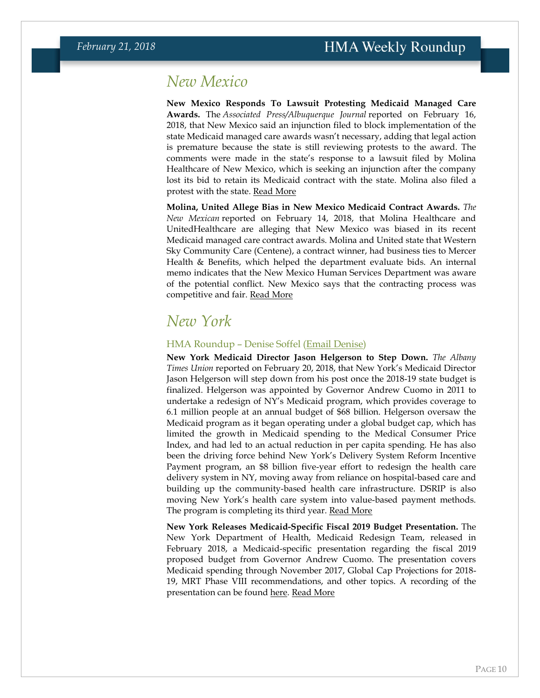### <span id="page-9-1"></span>*New Mexico*

**New Mexico Responds To Lawsuit Protesting Medicaid Managed Care Awards.** The *Associated Press/Albuquerque Journal* reported on February 16, 2018, that New Mexico said an injunction filed to block implementation of the state Medicaid managed care awards wasn't necessary, adding that legal action is premature because the state is still reviewing protests to the award. The comments were made in the state's response to a lawsuit filed by Molina Healthcare of New Mexico, which is seeking an injunction after the company lost its bid to retain its Medicaid contract with the state. Molina also filed a protest with the state. [Read More](https://www.abqjournal.com/1134644/state-fires-back-at-molina.html)

**Molina, United Allege Bias in New Mexico Medicaid Contract Awards.** *The New Mexican* reported on February 14, 2018, that Molina Healthcare and UnitedHealthcare are alleging that New Mexico was biased in its recent Medicaid managed care contract awards. Molina and United state that Western Sky Community Care (Centene), a contract winner, had business ties to Mercer Health & Benefits, which helped the department evaluate bids. An internal memo indicates that the New Mexico Human Services Department was aware of the potential conflict. New Mexico says that the contracting process was competitive and fair. [Read More](http://www.santafenewmexican.com/news/health_and_science/providers-claim-possible-bias-in-medicaid-contract-process/article_9bc5766d-d7ce-5976-b828-2fcfb0007b10.html)

### <span id="page-9-0"></span>*New York*

#### HMA Roundup – Denise Soffel [\(Email Denise\)](mailto:dsoffel@healthmanagement.com)

**New York Medicaid Director Jason Helgerson to Step Down.** *The Albany Times Union* reported on February 20, 2018, that New York's Medicaid Director Jason Helgerson will step down from his post once the 2018-19 state budget is finalized. Helgerson was appointed by Governor Andrew Cuomo in 2011 to undertake a redesign of NY's Medicaid program, which provides coverage to 6.1 million people at an annual budget of \$68 billion. Helgerson oversaw the Medicaid program as it began operating under a global budget cap, which has limited the growth in Medicaid spending to the Medical Consumer Price Index, and had led to an actual reduction in per capita spending. He has also been the driving force behind New York's Delivery System Reform Incentive Payment program, an \$8 billion five-year effort to redesign the health care delivery system in NY, moving away from reliance on hospital-based care and building up the community-based health care infrastructure. DSRIP is also moving New York's health care system into value-based payment methods. The program is completing its third year. [Read More](https://www.timesunion.com/7dayarchive/article/NY-Medicaid-director-to-leave-12628426.php)

**New York Releases Medicaid-Specific Fiscal 2019 Budget Presentation.** The New York Department of Health, Medicaid Redesign Team, released in February 2018, a Medicaid-specific presentation regarding the fiscal 2019 proposed budget from Governor Andrew Cuomo. The presentation covers Medicaid spending through November 2017, Global Cap Projections for 2018- 19, MRT Phase VIII recommendations, and other topics. A recording of the presentation can be found [here.](https://attendee.gotowebinar.com/recording/5714033675259756291?assets=true) [Read More](https://www.health.ny.gov/health_care/medicaid/redesign/mrt_budget.htm)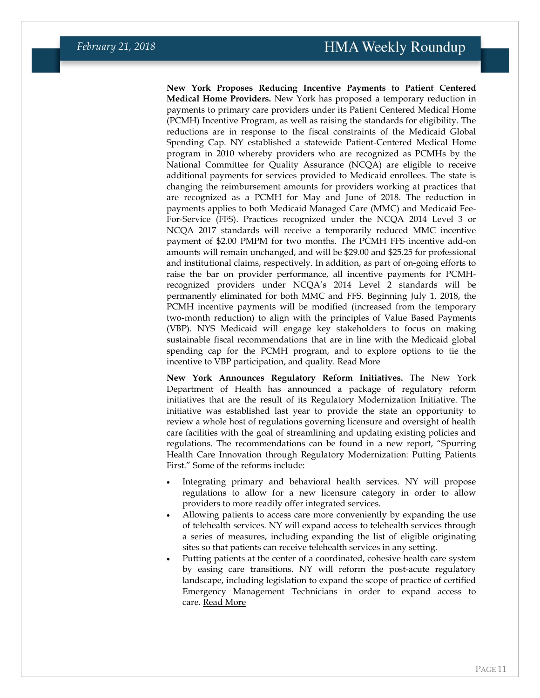**New York Proposes Reducing Incentive Payments to Patient Centered Medical Home Providers.** New York has proposed a temporary reduction in payments to primary care providers under its Patient Centered Medical Home (PCMH) Incentive Program, as well as raising the standards for eligibility. The reductions are in response to the fiscal constraints of the Medicaid Global Spending Cap. NY established a statewide Patient-Centered Medical Home program in 2010 whereby providers who are recognized as PCMHs by the National Committee for Quality Assurance (NCQA) are eligible to receive additional payments for services provided to Medicaid enrollees. The state is changing the reimbursement amounts for providers working at practices that are recognized as a PCMH for May and June of 2018. The reduction in payments applies to both Medicaid Managed Care (MMC) and Medicaid Fee-For-Service (FFS). Practices recognized under the NCQA 2014 Level 3 or NCQA 2017 standards will receive a temporarily reduced MMC incentive payment of \$2.00 PMPM for two months. The PCMH FFS incentive add-on amounts will remain unchanged, and will be \$29.00 and \$25.25 for professional and institutional claims, respectively. In addition, as part of on-going efforts to raise the bar on provider performance, all incentive payments for PCMHrecognized providers under NCQA's 2014 Level 2 standards will be permanently eliminated for both MMC and FFS. Beginning July 1, 2018, the PCMH incentive payments will be modified (increased from the temporary two-month reduction) to align with the principles of Value Based Payments (VBP). NYS Medicaid will engage key stakeholders to focus on making sustainable fiscal recommendations that are in line with the Medicaid global spending cap for the PCMH program, and to explore options to tie the incentive to VBP participation, and quality. [Read More](https://www.health.ny.gov/health_care/medicaid/program/update/2018/2018-01.htm#pcmh)

**New York Announces Regulatory Reform Initiatives.** The New York Department of Health has announced a package of regulatory reform initiatives that are the result of its Regulatory Modernization Initiative. The initiative was established last year to provide the state an opportunity to review a whole host of regulations governing licensure and oversight of health care facilities with the goal of streamlining and updating existing policies and regulations. The recommendations can be found in a new report, "Spurring Health Care Innovation through Regulatory Modernization: Putting Patients First." Some of the reforms include:

- Integrating primary and behavioral health services. NY will propose regulations to allow for a new licensure category in order to allow providers to more readily offer integrated services.
- Allowing patients to access care more conveniently by expanding the use of telehealth services. NY will expand access to telehealth services through a series of measures, including expanding the list of eligible originating sites so that patients can receive telehealth services in any setting.
- Putting patients at the center of a coordinated, cohesive health care system by easing care transitions. NY will reform the post-acute regulatory landscape, including legislation to expand the scope of practice of certified Emergency Management Technicians in order to expand access to care. [Read More](https://www.health.ny.gov/press/releases/2018/2018-02-20_regulatory_initiatives_to_improve_access_reduce_costs.htm)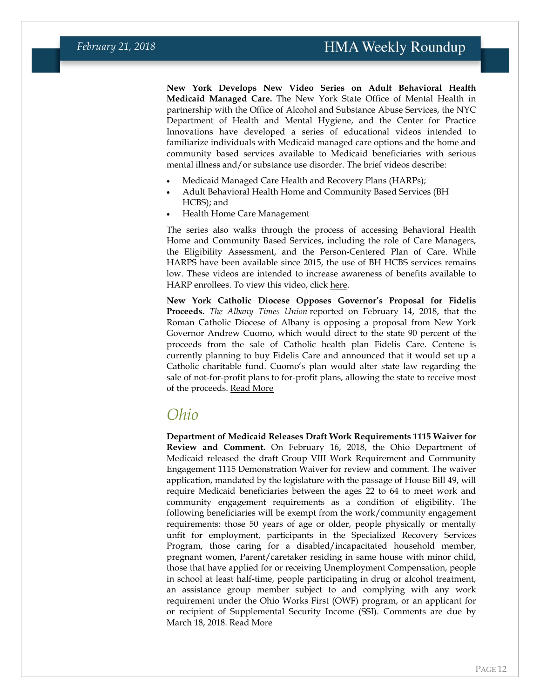**New York Develops New Video Series on Adult Behavioral Health Medicaid Managed Care.** The New York State Office of Mental Health in partnership with the Office of Alcohol and Substance Abuse Services, the NYC Department of Health and Mental Hygiene, and the Center for Practice Innovations have developed a series of educational videos intended to familiarize individuals with Medicaid managed care options and the home and community based services available to Medicaid beneficiaries with serious mental illness and/or substance use disorder. The brief videos describe:

- Medicaid Managed Care Health and Recovery Plans (HARPs);
- Adult Behavioral Health Home and Community Based Services (BH HCBS); and
- Health Home Care Management

The series also walks through the process of accessing Behavioral Health Home and Community Based Services, including the role of Care Managers, the Eligibility Assessment, and the Person-Centered Plan of Care. While HARPS have been available since 2015, the use of BH HCBS services remains low. These videos are intended to increase awareness of benefits available to HARP enrollees. To view this video, click [here.](https://www.youtube.com/playlist?list=PLdLZYFGjizLlXS9KOWxiCMKlKXMXd7Zz6)

**New York Catholic Diocese Opposes Governor's Proposal for Fidelis Proceeds.** *The Albany Times Union* reported on February 14, 2018, that the Roman Catholic Diocese of Albany is opposing a proposal from New York Governor Andrew Cuomo, which would direct to the state 90 percent of the proceeds from the sale of Catholic health plan Fidelis Care. Centene is currently planning to buy Fidelis Care and announced that it would set up a Catholic charitable fund. Cuomo's plan would alter state law regarding the sale of not-for-profit plans to for-profit plans, allowing the state to receive most of the proceeds. [Read More](https://www.timesunion.com/business/article/Cuomo-s-plan-targeting-Centene-Fidelis-deal-12613417.php)

### <span id="page-11-0"></span>*Ohio*

**Department of Medicaid Releases Draft Work Requirements 1115 Waiver for Review and Comment.** On February 16, 2018, the Ohio Department of Medicaid released the draft Group VIII Work Requirement and Community Engagement 1115 Demonstration Waiver for review and comment. The waiver application, mandated by the legislature with the passage of House Bill 49, will require Medicaid beneficiaries between the ages 22 to 64 to meet work and community engagement requirements as a condition of eligibility. The following beneficiaries will be exempt from the work/community engagement requirements: those 50 years of age or older, people physically or mentally unfit for employment, participants in the Specialized Recovery Services Program, those caring for a disabled/incapacitated household member, pregnant women, Parent/caretaker residing in same house with minor child, those that have applied for or receiving Unemployment Compensation, people in school at least half-time, people participating in drug or alcohol treatment, an assistance group member subject to and complying with any work requirement under the Ohio Works First (OWF) program, or an applicant for or recipient of Supplemental Security Income (SSI). Comments are due by March 18, 2018. [Read More](http://medicaid.ohio.gov/RESOURCES/PublicNotices/GroupVIII-WRCE-1115.aspx)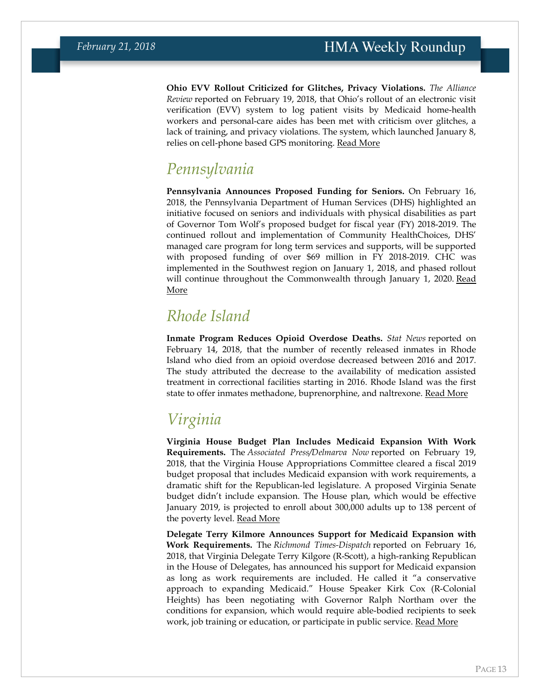**Ohio EVV Rollout Criticized for Glitches, Privacy Violations.** *The Alliance Review* reported on February 19, 2018, that Ohio's rollout of an electronic visit verification (EVV) system to log patient visits by Medicaid home-health workers and personal-care aides has been met with criticism over glitches, a lack of training, and privacy violations. The system, which launched January 8, relies on cell-phone based GPS monitoring. [Read More](http://www.the-review.com/news/20180219/medicaid-electronic-verification-draws-fire-for-glitches-privacy-invasion)

# *Pennsylvania*

**Pennsylvania Announces Proposed Funding for Seniors.** On February 16, 2018, the Pennsylvania Department of Human Services (DHS) highlighted an initiative focused on seniors and individuals with physical disabilities as part of Governor Tom Wolf's proposed budget for fiscal year (FY) 2018-2019. The continued rollout and implementation of Community HealthChoices, DHS' managed care program for long term services and supports, will be supported with proposed funding of over \$69 million in FY 2018-2019. CHC was implemented in the Southwest region on January 1, 2018, and phased rollout will continue throughout the Commonwealth through January 1, 2020. Read [More](http://www.media.pa.gov/Pages/DHS_details.aspx?newsid=287)

### *Rhode Island*

**Inmate Program Reduces Opioid Overdose Deaths.** *Stat News* reported on February 14, 2018, that the number of recently released inmates in Rhode Island who died from an opioid overdose decreased between 2016 and 2017. The study attributed the decrease to the availability of medication assisted treatment in correctional facilities starting in 2016. Rhode Island was the first state to offer inmates methadone, buprenorphine, and naltrexone. [Read More](https://www.statnews.com/2018/02/14/medication-assisted-treatment-inmates/)

# <span id="page-12-0"></span>*Virginia*

**Virginia House Budget Plan Includes Medicaid Expansion With Work Requirements.** The *Associated Press/Delmarva Now* reported on February 19, 2018, that the Virginia House Appropriations Committee cleared a fiscal 2019 budget proposal that includes Medicaid expansion with work requirements, a dramatic shift for the Republican-led legislature. A proposed Virginia Senate budget didn't include expansion. The House plan, which would be effective January 2019, is projected to enroll about 300,000 adults up to 138 percent of the poverty level. [Read More](http://www.delmarvanow.com/story/news/local/virginia/2018/02/19/virginia-house-embraces-medicaid-expansion-budget/350436002/)

**Delegate Terry Kilmore Announces Support for Medicaid Expansion with Work Requirements.** The *Richmond Times-Dispatch* reported on February 16, 2018, that Virginia Delegate Terry Kilgore (R-Scott), a high-ranking Republican in the House of Delegates, has announced his support for Medicaid expansion as long as work requirements are included. He called it "a conservative approach to expanding Medicaid." House Speaker Kirk Cox (R-Colonial Heights) has been negotiating with Governor Ralph Northam over the conditions for expansion, which would require able-bodied recipients to seek work, job training or education, or participate in public service. [Read More](http://www.richmond.com/news/virginia/government-politics/general-assembly/medicaid-movement-republican-terry-kilgore-breaks-rank-calls-for-kentucky/article_f50a17c5-f189-587a-8407-e50bab2761c3.html)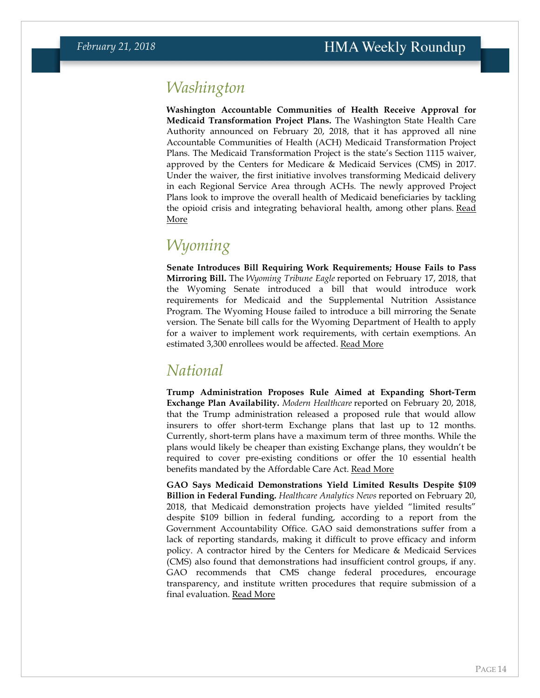### *Washington*

**Washington Accountable Communities of Health Receive Approval for Medicaid Transformation Project Plans.** The Washington State Health Care Authority announced on February 20, 2018, that it has approved all nine Accountable Communities of Health (ACH) Medicaid Transformation Project Plans. The Medicaid Transformation Project is the state's Section 1115 waiver, approved by the Centers for Medicare & Medicaid Services (CMS) in 2017. Under the waiver, the first initiative involves transforming Medicaid delivery in each Regional Service Area through ACHs. The newly approved Project Plans look to improve the overall health of Medicaid beneficiaries by tackling the opioid crisis and integrating behavioral health, among other plans. Read [More](https://content.govdelivery.com/accounts/WAHCA/bulletins/1dc624c)

# *Wyoming*

**Senate Introduces Bill Requiring Work Requirements; House Fails to Pass Mirroring Bill.** The *Wyoming Tribune Eagle* reported on February 17, 2018, that the Wyoming Senate introduced a bill that would introduce work requirements for Medicaid and the Supplemental Nutrition Assistance Program. The Wyoming House failed to introduce a bill mirroring the Senate version. The Senate bill calls for the Wyoming Department of Health to apply for a waiver to implement work requirements, with certain exemptions. An estimated 3,300 enrollees would be affected. [Read More](https://www.wyomingnews.com/news/local_news/wyoming-senate-introduces-bill-for-medicaid-snap-work-requirements/article_40d2da8a-13b2-11e8-b0a6-f3df6be5a164.html)

### *National*

**Trump Administration Proposes Rule Aimed at Expanding Short-Term Exchange Plan Availability.** *Modern Healthcare* reported on February 20, 2018, that the Trump administration released a proposed rule that would allow insurers to offer short-term Exchange plans that last up to 12 months. Currently, short-term plans have a maximum term of three months. While the plans would likely be cheaper than existing Exchange plans, they wouldn't be required to cover pre-existing conditions or offer the 10 essential health benefits mandated by the Affordable Care Act. [Read More](http://www.modernhealthcare.com/article/20180220/NEWS/180229999)

**GAO Says Medicaid Demonstrations Yield Limited Results Despite \$109 Billion in Federal Funding.** *Healthcare Analytics News* reported on February 20, 2018, that Medicaid demonstration projects have yielded "limited results" despite \$109 billion in federal funding, according to a report from the Government Accountability Office. GAO said demonstrations suffer from a lack of reporting standards, making it difficult to prove efficacy and inform policy. A contractor hired by the Centers for Medicare & Medicaid Services (CMS) also found that demonstrations had insufficient control groups, if any. GAO recommends that CMS change federal procedures, encourage transparency, and institute written procedures that require submission of a final evaluation. [Read More](http://www.hcanews.com/news/gao-states-spend-100b-on-medicaid-demonstrations-with-limited-results)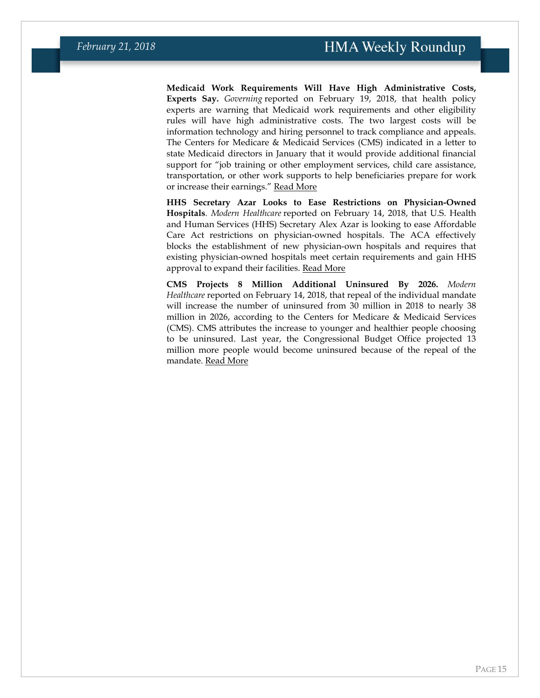**Medicaid Work Requirements Will Have High Administrative Costs, Experts Say.** *Governing* reported on February 19, 2018, that health policy experts are warning that Medicaid work requirements and other eligibility rules will have high administrative costs. The two largest costs will be information technology and hiring personnel to track compliance and appeals. The Centers for Medicare & Medicaid Services (CMS) indicated in a letter to state Medicaid directors in January that it would provide additional financial support for "job training or other employment services, child care assistance, transportation, or other work supports to help beneficiaries prepare for work or increase their earnings." [Read More](http://www.governing.com/topics/health-human-services/gov-medicaid-work-requirements-states-cost-implement.html)

**HHS Secretary Azar Looks to Ease Restrictions on Physician-Owned Hospitals***. Modern Healthcare* reported on February 14, 2018, that U.S. Health and Human Services (HHS) Secretary Alex Azar is looking to ease Affordable Care Act restrictions on physician-owned hospitals. The ACA effectively blocks the establishment of new physician-own hospitals and requires that existing physician-owned hospitals meet certain requirements and gain HHS approval to expand their facilities. [Read More](http://www.modernhealthcare.com/article/20180214/NEWS/180219961)

**CMS Projects 8 Million Additional Uninsured By 2026.** *Modern Healthcare* reported on February 14, 2018, that repeal of the individual mandate will increase the number of uninsured from 30 million in 2018 to nearly 38 million in 2026, according to the Centers for Medicare & Medicaid Services (CMS). CMS attributes the increase to younger and healthier people choosing to be uninsured. Last year, the Congressional Budget Office projected 13 million more people would become uninsured because of the repeal of the mandate. [Read More](http://www.modernhealthcare.com/article/20180214/NEWS/180219955)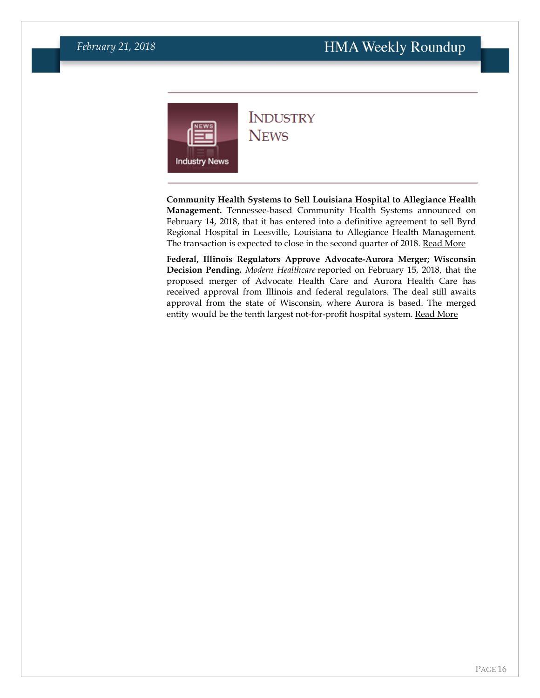<span id="page-15-0"></span>

### **INDUSTRY NEWS**

**Community Health Systems to Sell Louisiana Hospital to Allegiance Health Management.** Tennessee-based Community Health Systems announced on February 14, 2018, that it has entered into a definitive agreement to sell Byrd Regional Hospital in Leesville, Louisiana to Allegiance Health Management. The transaction is expected to close in the second quarter of 2018. [Read More](https://www.businesswire.com/news/home/20180214006290/en/)

**Federal, Illinois Regulators Approve Advocate-Aurora Merger; Wisconsin Decision Pending.** *Modern Healthcare* reported on February 15, 2018, that the proposed merger of Advocate Health Care and Aurora Health Care has received approval from Illinois and federal regulators. The deal still awaits approval from the state of Wisconsin, where Aurora is based. The merged entity would be the tenth largest not-for-profit hospital system. [Read More](http://www.modernhealthcare.com/article/20180215/NEWS/180219942?utm_source=modernhealthcare&utm_medium=email&utm_content=20180215-NEWS-180219942&utm_campaign=am)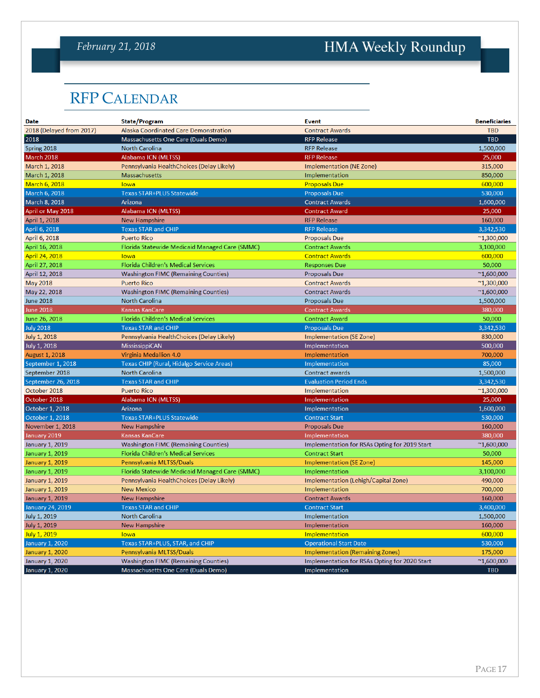### *February 21, 2018*

# HMA Weekly Roundup

# <span id="page-16-0"></span>RFP CALENDAR

| <b>Date</b>              | State/Program                                  | <b>Event</b>                                  | <b>Beneficiaries</b> |
|--------------------------|------------------------------------------------|-----------------------------------------------|----------------------|
| 2018 (Delayed from 2017) | Alaska Coordinated Care Demonstration          | <b>Contract Awards</b>                        | <b>TBD</b>           |
| 2018                     | Massachusetts One Care (Duals Demo)            | <b>RFP Release</b>                            | <b>TBD</b>           |
| Spring 2018              | North Carolina                                 | <b>RFP Release</b>                            | 1,500,000            |
| March 2018               | Alabama ICN (MLTSS)                            | <b>RFP Release</b>                            | 25,000               |
| March 1, 2018            | Pennsylvania HealthChoices (Delay Likely)      | Implementation (NE Zone)                      | 315,000              |
| March 1, 2018            | <b>Massachusetts</b>                           | Implementation                                | 850,000              |
| <b>March 6, 2018</b>     | lowa                                           | <b>Proposals Due</b>                          | 600,000              |
| March 6, 2018            | <b>Texas STAR+PLUS Statewide</b>               | <b>Proposals Due</b>                          | 530,000              |
| March 8, 2018            | Arizona                                        | <b>Contract Awards</b>                        | 1,600,000            |
| April or May 2018        | Alabama ICN (MLTSS)                            | <b>Contract Award</b>                         | 25,000               |
| April 1, 2018            | <b>New Hampshire</b>                           | <b>RFP Release</b>                            | 160,000              |
| April 6, 2018            | <b>Texas STAR and CHIP</b>                     | <b>RFP Release</b>                            | 3,342,530            |
| April 6, 2018            | <b>Puerto Rico</b>                             | <b>Proposals Due</b>                          | $^{\sim}$ 1,300,000  |
| April 16, 2018           | Florida Statewide Medicaid Managed Care (SMMC) | <b>Contract Awards</b>                        | 3,100,000            |
| April 24, 2018           | lowa                                           | <b>Contract Awards</b>                        | 600,000              |
| April 27, 2018           | Florida Children's Medical Services            | <b>Responses Due</b>                          | 50,000               |
| April 12, 2018           | <b>Washington FIMC (Remaining Counties)</b>    | <b>Proposals Due</b>                          | $^{\sim}1,600,000$   |
| <b>May 2018</b>          | <b>Puerto Rico</b>                             | <b>Contract Awards</b>                        | $^{\sim}1,300,000$   |
| May 22, 2018             | <b>Washington FIMC (Remaining Counties)</b>    | <b>Contract Awards</b>                        | $^{\sim}1,600,000$   |
| <b>June 2018</b>         | <b>North Carolina</b>                          | <b>Proposals Due</b>                          | 1,500,000            |
| <b>June 2018</b>         | Kansas KanCare                                 | <b>Contract Awards</b>                        | 380,000              |
| June 26, 2018            | Florida Children's Medical Services            | <b>Contract Award</b>                         | 50,000               |
| <b>July 2018</b>         | <b>Texas STAR and CHIP</b>                     | <b>Proposals Due</b>                          | 3,342,530            |
| July 1, 2018             | Pennsylvania HealthChoices (Delay Likely)      | <b>Implementation (SE Zone)</b>               | 830,000              |
| July 1, 2018             | MississippiCAN                                 | Implementation                                | 500,000              |
| August 1, 2018           | Virginia Medallion 4.0                         | Implementation                                | 700,000              |
| September 1, 2018        | Texas CHIP (Rural, Hidalgo Service Areas)      | Implementation                                | 85,000               |
| September 2018           | <b>North Carolina</b>                          | <b>Contract awards</b>                        | 1,500,000            |
| September 26, 2018       | <b>Texas STAR and CHIP</b>                     | <b>Evaluation Period Ends</b>                 | 3,342,530            |
| October 2018             | <b>Puerto Rico</b>                             | Implementation                                | $^{\sim}1,300,000$   |
| October 2018             | Alabama ICN (MLTSS)                            | Implementation                                | 25,000               |
| October 1, 2018          | Arizona                                        | Implementation                                | 1,600,000            |
| October 1, 2018          | Texas STAR+PLUS Statewide                      | <b>Contract Start</b>                         | 530,000              |
| November 1, 2018         | <b>New Hampshire</b>                           | <b>Proposals Due</b>                          | 160,000              |
| January 2019             | Kansas KanCare                                 | Implementation                                | 380,000              |
| <b>January 1, 2019</b>   | <b>Washington FIMC (Remaining Counties)</b>    | Implementation for RSAs Opting for 2019 Start | $^{\sim}1,600,000$   |
| January 1, 2019          | Florida Children's Medical Services            | <b>Contract Start</b>                         | 50,000               |
| <b>January 1, 2019</b>   | Pennsylvania MLTSS/Duals                       | <b>Implementation (SE Zone)</b>               | 145,000              |
| <b>January 1, 2019</b>   | Florida Statewide Medicaid Managed Care (SMMC) | Implementation                                | 3,100,000            |
| <b>January 1, 2019</b>   | Pennsylvania HealthChoices (Delay Likely)      | Implementation (Lehigh/Capital Zone)          | 490,000              |
| <b>January 1, 2019</b>   | <b>New Mexico</b>                              | Implementation                                | 700,000              |
| January 1, 2019          | <b>New Hampshire</b>                           | <b>Contract Awards</b>                        | 160,000              |
| <b>January 24, 2019</b>  | <b>Texas STAR and CHIP</b>                     | <b>Contract Start</b>                         | 3,400,000            |
| <b>July 1, 2019</b>      | <b>North Carolina</b>                          | Implementation                                | 1,500,000            |
| <b>July 1, 2019</b>      | <b>New Hampshire</b>                           | Implementation                                | 160,000              |
| July 1, 2019             | lowa                                           | Implementation                                | 600,000              |
| <b>January 1, 2020</b>   | Texas STAR+PLUS, STAR, and CHIP                | <b>Operational Start Date</b>                 | 530,000              |
| <b>January 1, 2020</b>   | Pennsylvania MLTSS/Duals                       | <b>Implementation (Remaining Zones)</b>       | 175,000              |
| January 1, 2020          | <b>Washington FIMC (Remaining Counties)</b>    | Implementation for RSAs Opting for 2020 Start | $^{\sim}1,600,000$   |
| January 1, 2020          | Massachusetts One Care (Duals Demo)            | Implementation                                | <b>TBD</b>           |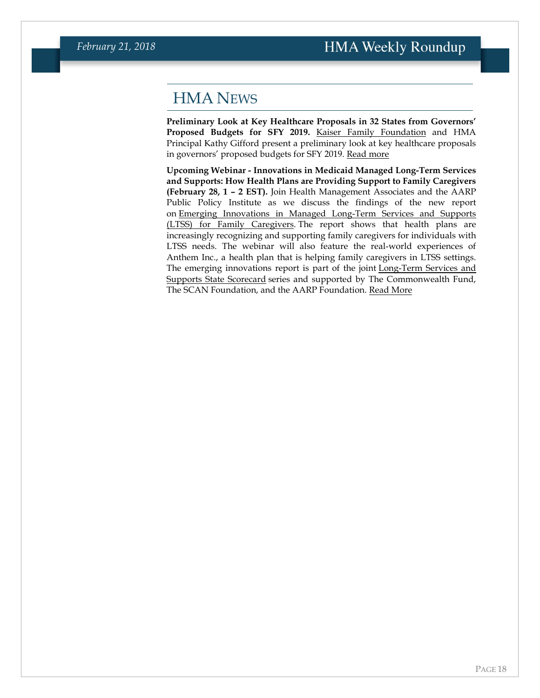### <span id="page-17-0"></span>HMA NEWS

**Preliminary Look at Key Healthcare Proposals in 32 States from Governors' Proposed Budgets for SFY 2019.** [Kaiser Family Foundation](https://www.linkedin.com/company/21066/) and HMA Principal Kathy Gifford present a preliminary look at key healthcare proposals in governors' proposed budgets for SFY 2019. [Read more](http://bit.ly/2EzopW4)

**Upcoming Webinar - Innovations in Medicaid Managed Long-Term Services and Supports: How Health Plans are Providing Support to Family Caregivers (February 28, 1 – 2 EST).** Join Health Management Associates and the AARP Public Policy Institute as we discuss the findings of the new report on [Emerging Innovations in Managed Long-Term Services and Supports](http://longtermscorecard.org/promising-practices/emerging-innovations-ltss)  [\(LTSS\) for Family Caregivers.](http://longtermscorecard.org/promising-practices/emerging-innovations-ltss) The report shows that health plans are increasingly recognizing and supporting family caregivers for individuals with LTSS needs. The webinar will also feature the real-world experiences of Anthem Inc., a health plan that is helping family caregivers in LTSS settings. The emerging innovations report is part of the joint [Long-Term Services and](http://longtermscorecard.org/promising-practices)  [Supports State Scorecard](http://longtermscorecard.org/promising-practices) series and supported by The Commonwealth Fund, The SCAN Foundation, and the AARP Foundation. [Read More](https://www.healthmanagement.com/knowledge-share/webinars/innovations-medicaid-managed-long-term-services-supports/)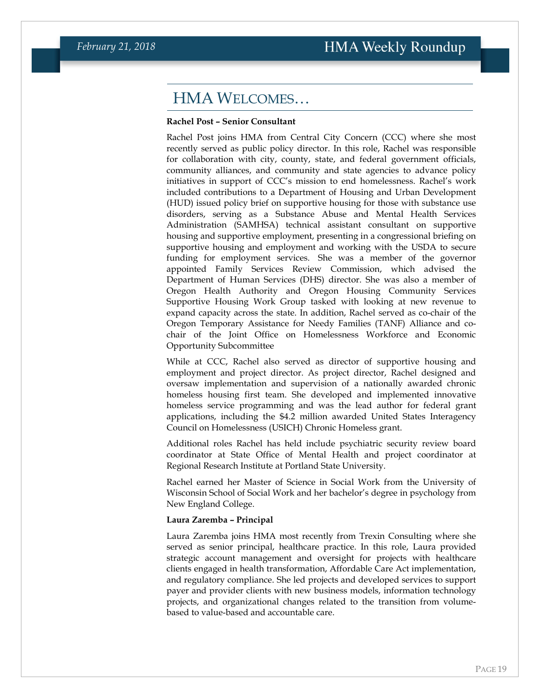### HMA WELCOMES…

#### **Rachel Post – Senior Consultant**

Rachel Post joins HMA from Central City Concern (CCC) where she most recently served as public policy director. In this role, Rachel was responsible for collaboration with city, county, state, and federal government officials, community alliances, and community and state agencies to advance policy initiatives in support of CCC's mission to end homelessness. Rachel's work included contributions to a Department of Housing and Urban Development (HUD) issued policy brief on supportive housing for those with substance use disorders, serving as a Substance Abuse and Mental Health Services Administration (SAMHSA) technical assistant consultant on supportive housing and supportive employment, presenting in a congressional briefing on supportive housing and employment and working with the USDA to secure funding for employment services. She was a member of the governor appointed Family Services Review Commission, which advised the Department of Human Services (DHS) director. She was also a member of Oregon Health Authority and Oregon Housing Community Services Supportive Housing Work Group tasked with looking at new revenue to expand capacity across the state. In addition, Rachel served as co-chair of the Oregon Temporary Assistance for Needy Families (TANF) Alliance and cochair of the Joint Office on Homelessness Workforce and Economic Opportunity Subcommittee

While at CCC, Rachel also served as director of supportive housing and employment and project director. As project director, Rachel designed and oversaw implementation and supervision of a nationally awarded chronic homeless housing first team. She developed and implemented innovative homeless service programming and was the lead author for federal grant applications, including the \$4.2 million awarded United States Interagency Council on Homelessness (USICH) Chronic Homeless grant.

Additional roles Rachel has held include psychiatric security review board coordinator at State Office of Mental Health and project coordinator at Regional Research Institute at Portland State University.

Rachel earned her Master of Science in Social Work from the University of Wisconsin School of Social Work and her bachelor's degree in psychology from New England College.

#### **Laura Zaremba – Principal**

Laura Zaremba joins HMA most recently from Trexin Consulting where she served as senior principal, healthcare practice. In this role, Laura provided strategic account management and oversight for projects with healthcare clients engaged in health transformation, Affordable Care Act implementation, and regulatory compliance. She led projects and developed services to support payer and provider clients with new business models, information technology projects, and organizational changes related to the transition from volumebased to value-based and accountable care.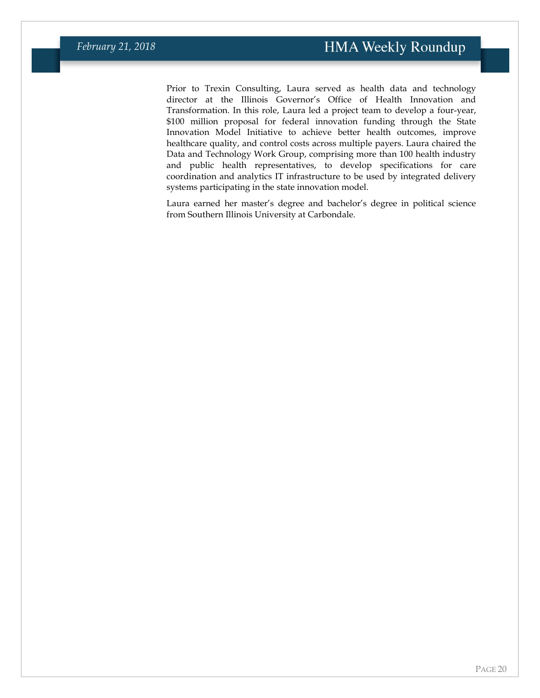Prior to Trexin Consulting, Laura served as health data and technology director at the Illinois Governor's Office of Health Innovation and Transformation. In this role, Laura led a project team to develop a four-year, \$100 million proposal for federal innovation funding through the State Innovation Model Initiative to achieve better health outcomes, improve healthcare quality, and control costs across multiple payers. Laura chaired the Data and Technology Work Group, comprising more than 100 health industry and public health representatives, to develop specifications for care coordination and analytics IT infrastructure to be used by integrated delivery systems participating in the state innovation model.

Laura earned her master's degree and bachelor's degree in political science from Southern Illinois University at Carbondale.